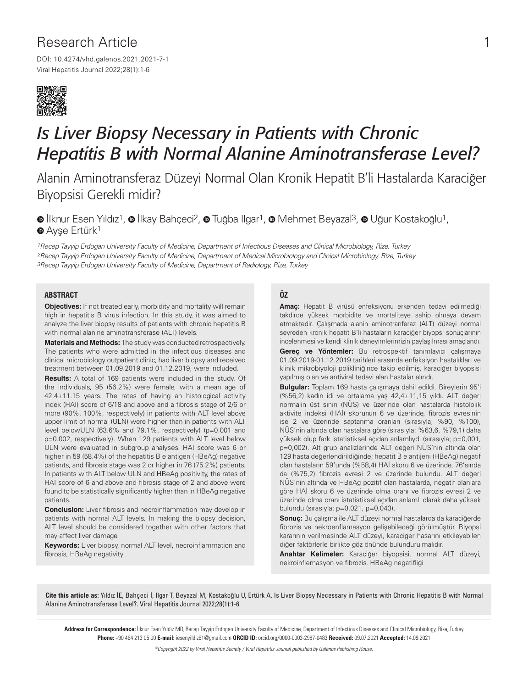# Research Article

DOI: 10.4274/vhd.galenos.2021.2021-7-1 Viral Hepatitis Journal 2022;28(1):1-6



# *Is Liver Biopsy Necessary in Patients with Chronic Hepatitis B with Normal Alanine Aminotransferase Level?*

Alanin Aminotransferaz Düzeyi Normal Olan Kronik Hepatit B'li Hastalarda Karaciğer Biyopsisi Gerekli midir?

 $\bullet$ İlknur Esen Yıldız<sup>1</sup>,  $\bullet$  İlkay Bahçeci<sup>2</sup>,  $\bullet$  Tuğba Ilgar<sup>1</sup>,  $\bullet$  Mehmet Beyazal<sup>3</sup>,  $\bullet$  Uğur Kostakoğlu<sup>1</sup>, **AyseErtürk<sup>1</sup>** 

1Recep Tayyip Erdogan University Faculty of Medicine, Department of Infectious Diseases and Clinical Microbiology, Rize, Turkey 2Recep Tayyip Erdogan University Faculty of Medicine, Department of Medical Microbiology and Clinical Microbiology, Rize, Turkey 3Recep Tayyip Erdogan University Faculty of Medicine, Department of Radiology, Rize, Turkey

#### **ABSTRACT**

**Objectives:** If not treated early, morbidity and mortality will remain high in hepatitis B virus infection. In this study, it was aimed to analyze the liver biopsy results of patients with chronic hepatitis B with normal alanine aminotransferase (ALT) levels.

**Materials and Methods:** The study was conducted retrospectively. The patients who were admitted in the infectious diseases and clinical microbiology outpatient clinic, had liver biopsy and received treatment between 01.09.2019 and 01.12.2019, were included.

**Results:** A total of 169 patients were included in the study. Of the individuals, 95 (56.2%) were female, with a mean age of 42.4±11.15 years. The rates of having an histological activity index (HAI) score of 6/18 and above and a fibrosis stage of 2/6 or more (90%, 100%, respectively) in patients with ALT level above upper limit of normal (ULN) were higher than in patients with ALT level belowULN (63.6% and 79.1%, respectively) (p=0.001 and p=0.002, respectively). When 129 patients with ALT level below ULN were evaluated in subgroup analyses. HAI score was 6 or higher in 59 (58.4%) of the hepatitis B e antigen (HBeAg) negative patients, and fibrosis stage was 2 or higher in 76 (75.2%) patients. In patients with ALT below ULN and HBeAg positivity, the rates of HAI score of 6 and above and fibrosis stage of 2 and above were found to be statistically significantly higher than in HBeAg negative patients.

**Conclusion:** Liver fibrosis and necroinflammation may develop in patients with normal ALT levels. In making the biopsy decision, ALT level should be considered together with other factors that may affect liver damage.

**Keywords:** Liver biopsy, normal ALT level, necroinflammation and fibrosis, HBeAg negativity

#### **ÖZ**

**Amaç:** Hepatit B virüsü enfeksiyonu erkenden tedavi edilmediği takdirde yüksek morbidite ve mortaliteye sahip olmaya devam etmektedir. Çalışmada alanin aminotranferaz (ALT) düzeyi normal seyreden kronik hepatit B'li hastaların karaciğer biyopsi sonuçlarının incelenmesi ve kendi klinik deneyimlerimizin paylaşılması amaçlandı.

**Gereç ve Yöntemler:** Bu retrospektif tanımlayıcı çalışmaya 01.09.2019-01.12.2019 tarihleri arasında enfeksiyon hastalıkları ve klinik mikrobiyoloji polikliniğince takip edilmiş, karaciğer biyopsisi yapılmış olan ve antiviral tedavi alan hastalar alındı.

**Bulgular:** Toplam 169 hasta çalışmaya dahil edildi. Bireylerin 95'i (%56,2) kadın idi ve ortalama yaş 42,4±11,15 yıldı. ALT değeri normalin üst sınırı (NÜS) ve üzerinde olan hastalarda histolojik aktivite indeksi (HAİ) skorunun 6 ve üzerinde, fibrozis evresinin ise 2 ve üzerinde saptanma oranları (sırasıyla; %90, %100), NÜS'nin altında olan hastalara göre (sırasıyla; %63,6, %79,1) daha yüksek olup fark istatistiksel açıdan anlamlıydı (sırasıyla; p=0,001, p=0,002). Alt grup analizlerinde ALT değeri NÜS'nin altında olan 129 hasta değerlendirildiğinde; hepatit B e antijeni (HBeAg) negatif olan hastaların 59'unda (%58,4) HAİ skoru 6 ve üzerinde, 76'sında da (%75,2) fibrozis evresi 2 ve üzerinde bulundu. ALT değeri NÜS'nin altında ve HBeAg pozitif olan hastalarda, negatif olanlara göre HAİ skoru 6 ve üzerinde olma oranı ve fibrozis evresi 2 ve üzerinde olma oranı istatistiksel açıdan anlamlı olarak daha yüksek bulundu (sırasıyla; p=0,021, p=0,043).

**Sonuç:** Bu çalışma ile ALT düzeyi normal hastalarda da karaciğerde fibrozis ve nekroenflamasyon gelişebileceği görülmüştür. Biyopsi kararının verilmesinde ALT düzeyi, karaciğer hasarını etkileyebilen diğer faktörlerle birlikte göz önünde bulundurulmalıdır.

**Anahtar Kelimeler:** Karaciğer biyopsisi, normal ALT düzeyi, nekroinflemasyon ve fibrozis, HBeAg negatifliği

Cite this article as: Yıldız İE, Bahçeci İ, Ilgar T, Beyazal M, Kostakoğlu U, Ertürk A. Is Liver Biopsy Necessary in Patients with Chronic Hepatitis B with Normal Alanine Aminotransferase Level?. Viral Hepatitis Journal 2022;28(1):1-6

Address for Correspondence: İlknur Esen Yıldız MD, Recep Tayyip Erdogan University Faculty of Medicine, Department of Infectious Diseases and Clinical Microbiology, Rize, Turkey Phone: +90 464 213 05 00 E-mail: iesenyildiz61@gmail.com ORCID ID: orcid.org/0000-0003-2987-0483 Received: 09.07.2021 Accepted: 14.09.2021

©Copyright 2022 by Viral Hepatitis Society / Viral Hepatitis Journal published by Galenos Publishing House.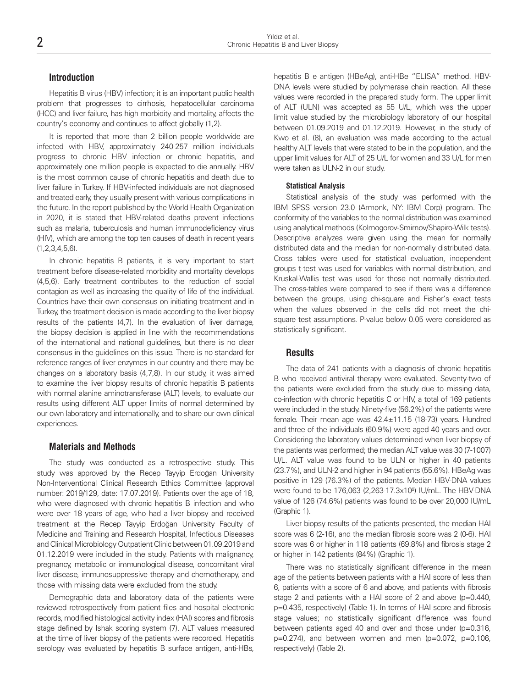#### **Introduction**

Hepatitis B virus (HBV) infection; it is an important public health problem that progresses to cirrhosis, hepatocellular carcinoma (HCC) and liver failure, has high morbidity and mortality, affects the country's economy and continues to affect globally (1,2).

It is reported that more than 2 billion people worldwide are infected with HBV, approximately 240-257 million individuals progress to chronic HBV infection or chronic hepatitis, and approximately one million people is expected to die annually. HBV is the most common cause of chronic hepatitis and death due to liver failure in Turkey. If HBV-infected individuals are not diagnosed and treated early, they usually present with various complications in the future. In the report published by the World Health Organization in 2020, it is stated that HBV-related deaths prevent infections such as malaria, tuberculosis and human immunodeficiency virus (HIV), which are among the top ten causes of death in recent years (1,2,3,4,5,6).

In chronic hepatitis B patients, it is very important to start treatment before disease-related morbidity and mortality develops (4,5,6). Early treatment contributes to the reduction of social contagion as well as increasing the quality of life of the individual. Countries have their own consensus on initiating treatment and in Turkey, the treatment decision is made according to the liver biopsy results of the patients (4,7). In the evaluation of liver damage, the biopsy decision is applied in line with the recommendations of the international and national guidelines, but there is no clear consensus in the guidelines on this issue. There is no standard for reference ranges of liver enzymes in our country and there may be changes on a laboratory basis (4,7,8). In our study, it was aimed to examine the liver biopsy results of chronic hepatitis B patients with normal alanine aminotransferase (ALT) levels, to evaluate our results using different ALT upper limits of normal determined by our own laboratory and internationally, and to share our own clinical experiences.

### **Materials and Methods**

The study was conducted as a retrospective study. This study was approved by the Recep Tayyip Erdoğan University Non-Interventional Clinical Research Ethics Committee (approval number: 2019/129, date: 17.07.2019). Patients over the age of 18, who were diagnosed with chronic hepatitis B infection and who were over 18 years of age, who had a liver biopsy and received treatment at the Recep Tayyip Erdoğan University Faculty of Medicine and Training and Research Hospital, Infectious Diseases and Clinical Microbiology Outpatient Clinic between 01.09.2019 and 01.12.2019 were included in the study. Patients with malignancy, pregnancy, metabolic or immunological disease, concomitant viral liver disease, immunosuppressive therapy and chemotherapy, and those with missing data were excluded from the study.

Demographic data and laboratory data of the patients were reviewed retrospectively from patient files and hospital electronic records, modified histological activity index (HAI) scores and fibrosis stage defined by Ishak scoring system (7). ALT values measured at the time of liver biopsy of the patients were recorded. Hepatitis serology was evaluated by hepatitis B surface antigen, anti-HBs,

hepatitis B e antigen (HBeAg), anti-HBe "ELISA" method. HBV-DNA levels were studied by polymerase chain reaction. All these values were recorded in the prepared study form. The upper limit of ALT (ULN) was accepted as 55 U/L, which was the upper limit value studied by the microbiology laboratory of our hospital between 01.09.2019 and 01.12.2019. However, in the study of Kwo et al. (8), an evaluation was made according to the actual healthy ALT levels that were stated to be in the population, and the upper limit values for ALT of 25 U/L for women and 33 U/L for men were taken as ULN-2 in our study.

#### **Statistical Analysis**

Statistical analysis of the study was performed with the IBM SPSS version 23.0 (Armonk, NY: IBM Corp) program. The conformity of the variables to the normal distribution was examined using analytical methods (Kolmogorov-Smirnov/Shapiro-Wilk tests). Descriptive analyzes were given using the mean for normally distributed data and the median for non-normally distributed data. Cross tables were used for statistical evaluation, independent groups t-test was used for variables with normal distribution, and Kruskal-Wallis test was used for those not normally distributed. The cross-tables were compared to see if there was a difference between the groups, using chi-square and Fisher's exact tests when the values observed in the cells did not meet the chisquare test assumptions. P-value below 0.05 were considered as statistically significant.

#### **Results**

The data of 241 patients with a diagnosis of chronic hepatitis B who received antiviral therapy were evaluated. Seventy-two of the patients were excluded from the study due to missing data, co-infection with chronic hepatitis C or HIV, a total of 169 patients were included in the study. Ninety-five (56.2%) of the patients were female. Their mean age was 42.4±11.15 (18-73) years. Hundred and three of the individuals (60.9%) were aged 40 years and over. Considering the laboratory values determined when liver biopsy of the patients was performed; the median ALT value was 30 (7-1007) U/L. ALT value was found to be ULN or higher in 40 patients (23.7%), and ULN-2 and higher in 94 patients (55.6%). HBeAg was positive in 129 (76.3%) of the patients. Median HBV-DNA values were found to be 176,063 (2,263-17.3x10<sup>9</sup>) IU/mL. The HBV-DNA value of 126 (74.6%) patients was found to be over 20,000 IU/mL (Graphic 1).

Liver biopsy results of the patients presented, the median HAI score was 6 (2-16), and the median fibrosis score was 2 (0-6). HAI score was 6 or higher in 118 patients (69.8%) and fibrosis stage 2 or higher in 142 patients (84%) (Graphic 1).

There was no statistically significant difference in the mean age of the patients between patients with a HAI score of less than 6, patients with a score of 6 and above, and patients with fibrosis stage 2 and patients with a HAI score of 2 and above (p=0.440, p=0.435, respectively) (Table 1). In terms of HAI score and fibrosis stage values; no statistically significant difference was found between patients aged 40 and over and those under (p=0.316,  $p=0.274$ ), and between women and men ( $p=0.072$ ,  $p=0.106$ , respectively) (Table 2).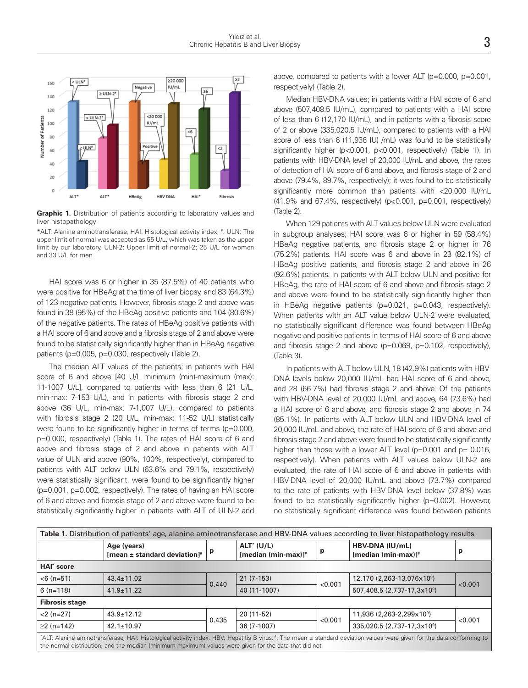

**Graphic 1.** Distribution of patients according to laboratory values and liver histopathology

\*ALT: Alanine aminotransferase, HAI: Histological activity index, # : ULN: The upper limit of normal was accepted as 55 U/L, which was taken as the upper limit by our laboratory. ULN-2: Upper limit of normal-2; 25 U/L for women and 33 U/L for men

HAI score was 6 or higher in 35 (87.5%) of 40 patients who were positive for HBeAg at the time of liver biopsy, and 83 (64.3%) of 123 negative patients. However, fibrosis stage 2 and above was found in 38 (95%) of the HBeAg positive patients and 104 (80.6%) of the negative patients. The rates of HBeAg positive patients with a HAI score of 6 and above and a fibrosis stage of 2 and above were found to be statistically significantly higher than in HBeAg negative patients (p=0.005, p=0.030, respectively (Table 2).

The median ALT values of the patients; in patients with HAI score of 6 and above [40 U/L minimum (min)-maximum (max): 11-1007 U/L], compared to patients with less than 6 (21 U/L, min-max: 7-153 U/L), and in patients with fibrosis stage 2 and above (36 U/L, min-max: 7-1,007 U/L), compared to patients with fibrosis stage 2 (20 U/L, min-max: 11-52 U/L) statistically were found to be significantly higher in terms of terms (p=0.000, p=0.000, respectively) (Table 1). The rates of HAI score of 6 and above and fibrosis stage of 2 and above in patients with ALT value of ULN and above (90%, 100%, respectively), compared to patients with ALT below ULN (63.6% and 79.1%, respectively) were statistically significant. were found to be significantly higher (p=0.001, p=0.002, respectively). The rates of having an HAI score of 6 and above and fibrosis stage of 2 and above were found to be statistically significantly higher in patients with ALT of ULN-2 and above, compared to patients with a lower ALT (p=0.000, p=0.001, respectively) (Table 2).

Median HBV-DNA values; in patients with a HAI score of 6 and above (507,408.5 IU/mL), compared to patients with a HAI score of less than 6 (12,170 IU/mL), and in patients with a fibrosis score of 2 or above (335,020.5 IU/mL), compared to patients with a HAI score of less than 6 (11,936 IU) /mL) was found to be statistically significantly higher (p<0.001, p<0.001, respectively) (Table 1). In patients with HBV-DNA level of 20,000 IU/mL and above, the rates of detection of HAI score of 6 and above, and fibrosis stage of 2 and above (79.4%, 89.7%, respectively); it was found to be statistically significantly more common than patients with <20,000 IU/mL (41.9% and 67.4%, respectively) (p<0.001, p=0.001, respectively) (Table 2).

When 129 patients with ALT values below ULN were evaluated in subgroup analyses; HAI score was 6 or higher in 59 (58.4%) HBeAg negative patients, and fibrosis stage 2 or higher in 76 (75.2%) patients. HAI score was 6 and above in 23 (82.1%) of HBeAg positive patients, and fibrosis stage 2 and above in 26 (92.6%) patients. In patients with ALT below ULN and positive for HBeAg, the rate of HAI score of 6 and above and fibrosis stage 2 and above were found to be statistically significantly higher than in HBeAg negative patients (p=0.021, p=0.043, respectively). When patients with an ALT value below ULN-2 were evaluated, no statistically significant difference was found between HBeAg negative and positive patients in terms of HAI score of 6 and above and fibrosis stage 2 and above (p=0.069, p=0.102, respectively), (Table 3).

In patients with ALT below ULN, 18 (42.9%) patients with HBV-DNA levels below 20,000 IU/mL had HAI score of 6 and above, and 28 (66.7%) had fibrosis stage 2 and above. Of the patients with HBV-DNA level of 20,000 IU/mL and above, 64 (73.6%) had a HAI score of 6 and above, and fibrosis stage 2 and above in 74 (85.1%). In patients with ALT below ULN and HBV-DNA level of 20,000 IU/mL and above, the rate of HAI score of 6 and above and fibrosis stage 2 and above were found to be statistically significantly higher than those with a lower ALT level ( $p=0.001$  and  $p= 0.016$ , respectively). When patients with ALT values below ULN-2 are evaluated, the rate of HAI score of 6 and above in patients with HBV-DNA level of 20,000 IU/mL and above (73.7%) compared to the rate of patients with HBV-DNA level below (37.8%) was found to be statistically significantly higher (p=0.002). However, no statistically significant difference was found between patients

| Table 1. Distribution of patients' age, alanine aminotransferase and HBV-DNA values according to liver histopathology results                                                                                                                                                    |                                                 |       |                                     |         |                                           |         |  |  |
|----------------------------------------------------------------------------------------------------------------------------------------------------------------------------------------------------------------------------------------------------------------------------------|-------------------------------------------------|-------|-------------------------------------|---------|-------------------------------------------|---------|--|--|
|                                                                                                                                                                                                                                                                                  | Age (years)<br>[mean $\pm$ standard deviation]# | p     | $ALT^*(U/L)$<br>[median (min-max)]# | р       | HBV-DNA (IU/mL)<br>[median (min-max)] $#$ | p       |  |  |
| HAI <sup>*</sup> score                                                                                                                                                                                                                                                           |                                                 |       |                                     |         |                                           |         |  |  |
| $<$ 6 (n=51)                                                                                                                                                                                                                                                                     | $43.4 \pm 11.02$                                | 0.440 | $21(7-153)$                         | < 0.001 | 12,170 (2,263-13,076x10 <sup>9</sup> )    | < 0.001 |  |  |
| $6(n=118)$                                                                                                                                                                                                                                                                       | $41.9 \pm 11.22$                                |       | 40 (11-1007)                        |         | 507,408.5 (2,737-17,3x10 <sup>9</sup> )   |         |  |  |
| <b>Fibrosis stage</b>                                                                                                                                                                                                                                                            |                                                 |       |                                     |         |                                           |         |  |  |
| $<$ 2 (n=27)                                                                                                                                                                                                                                                                     | $43.9 \pm 12.12$                                | 0.435 | $20(11-52)$                         | < 0.001 | 11,936 (2,263-2,299x10 <sup>9</sup> )     | < 0.001 |  |  |
| $\geq$ (n=142)                                                                                                                                                                                                                                                                   | $42.1 \pm 10.97$                                |       | 36 (7-1007)                         |         | 335,020.5 (2,737-17,3x10 <sup>9</sup> )   |         |  |  |
| "ALT: Alanine aminotransferase, HAI: Histological activity index, HBV: Hepatitis B virus, #: The mean ± standard deviation values were given for the data conforming to<br>the normal distribution, and the median (minimum-maximum) values were given for the data that did not |                                                 |       |                                     |         |                                           |         |  |  |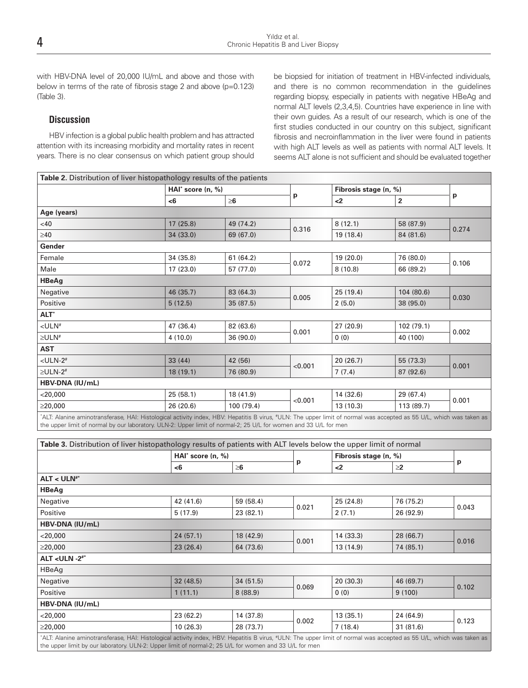with HBV-DNA level of 20,000 IU/mL and above and those with below in terms of the rate of fibrosis stage 2 and above (p=0.123) (Table 3).

## **Discussion**

HBV infection is a global public health problem and has attracted attention with its increasing morbidity and mortality rates in recent years. There is no clear consensus on which patient group should be biopsied for initiation of treatment in HBV-infected individuals, and there is no common recommendation in the guidelines regarding biopsy, especially in patients with negative HBeAg and normal ALT levels (2,3,4,5). Countries have experience in line with their own guides. As a result of our research, which is one of the first studies conducted in our country on this subject, significant fibrosis and necroinflammation in the liver were found in patients with high ALT levels as well as patients with normal ALT levels. It seems ALT alone is not sufficient and should be evaluated together

|                           |           | HAI <sup>*</sup> score $(n, %)$ |         | Fibrosis stage (n, %) |                |       |
|---------------------------|-----------|---------------------------------|---------|-----------------------|----------------|-------|
|                           | $6$       | $\geq 6$                        | p       | $2$                   | $\overline{2}$ | p     |
| Age (years)               |           |                                 |         |                       |                |       |
| <40                       | 17(25.8)  | 49 (74.2)                       | 0.316   | 8(12.1)               | 58 (87.9)      | 0.274 |
| $\geq 40$                 | 34 (33.0) | 69 (67.0)                       |         | 19 (18.4)             | 84 (81.6)      |       |
| Gender                    |           |                                 |         |                       |                |       |
| Female                    | 34 (35.8) | 61(64.2)                        |         | 19(20.0)              | 76 (80.0)      |       |
| Male                      | 17(23.0)  | 57 (77.0)                       | 0.072   | 8(10.8)               | 66 (89.2)      | 0.106 |
| <b>HBeAg</b>              |           |                                 |         |                       |                |       |
| Negative                  | 46 (35.7) | 83 (64.3)                       | 0.005   | 25(19.4)              | 104 (80.6)     | 0.030 |
| Positive                  | 5(12.5)   | 35(87.5)                        |         | 2(5.0)                | 38 (95.0)      |       |
| ALT <sup>*</sup>          |           |                                 |         |                       |                |       |
| $<$ ULN#                  | 47 (36.4) | 82 (63.6)                       |         | 27(20.9)              | 102 (79.1)     | 0.002 |
| $\geq$ ULN <sup>#</sup>   | 4(10.0)   | 36 (90.0)                       | 0.001   | 0(0)                  | 40 (100)       |       |
| <b>AST</b>                |           |                                 |         |                       |                |       |
| $<$ ULN-2 $#$             | 33(44)    | 42 (56)                         |         | 20(26.7)              | 55 (73.3)      | 0.001 |
| $\geq$ ULN-2 <sup>#</sup> | 18(19.1)  | 76 (80.9)                       | < 0.001 | 7(7.4)                | 87 (92.6)      |       |
| HBV-DNA (IU/mL)           |           |                                 |         |                       |                |       |
| $<$ 20,000                | 25(58.1)  | 18 (41.9)                       |         | 14 (32.6)             | 29 (67.4)      |       |
| $\geq$ 20,000             | 26(20.6)  | 100 (79.4)                      | < 0.001 | 13(10.3)              | 113 (89.7)     | 0.001 |

| Table 3. Distribution of liver histopathology results of patients with ALT levels below the upper limit of normal                                                                                                                                                              |                                 |           |       |                       |           |       |  |  |  |
|--------------------------------------------------------------------------------------------------------------------------------------------------------------------------------------------------------------------------------------------------------------------------------|---------------------------------|-----------|-------|-----------------------|-----------|-------|--|--|--|
|                                                                                                                                                                                                                                                                                | HAI <sup>*</sup> score $(n, %)$ |           | р     | Fibrosis stage (n, %) |           |       |  |  |  |
|                                                                                                                                                                                                                                                                                | -6                              | $\geq$ 6  |       | $2$                   | $\geq$ 2  | p     |  |  |  |
| $ALT < ULN**$                                                                                                                                                                                                                                                                  |                                 |           |       |                       |           |       |  |  |  |
| <b>HBeAg</b>                                                                                                                                                                                                                                                                   |                                 |           |       |                       |           |       |  |  |  |
| Negative                                                                                                                                                                                                                                                                       | 42 (41.6)                       | 59 (58.4) | 0.021 | 25(24.8)              | 76 (75.2) | 0.043 |  |  |  |
| Positive                                                                                                                                                                                                                                                                       | 5(17.9)                         | 23(82.1)  |       | 2(7.1)                | 26 (92.9) |       |  |  |  |
| HBV-DNA (IU/mL)                                                                                                                                                                                                                                                                |                                 |           |       |                       |           |       |  |  |  |
| $<$ 20,000                                                                                                                                                                                                                                                                     | 24(57.1)                        | 18 (42.9) | 0.001 | 14(33.3)              | 28 (66.7) | 0.016 |  |  |  |
| $\geq$ 20,000                                                                                                                                                                                                                                                                  | 23(26.4)                        | 64 (73.6) |       | 13 (14.9)             | 74 (85.1) |       |  |  |  |
| ALT < ULN $-2$ <sup>#*</sup>                                                                                                                                                                                                                                                   |                                 |           |       |                       |           |       |  |  |  |
| HBeAg                                                                                                                                                                                                                                                                          |                                 |           |       |                       |           |       |  |  |  |
| Negative                                                                                                                                                                                                                                                                       | 32(48.5)                        | 34(51.5)  |       | 20(30.3)              | 46 (69.7) | 0.102 |  |  |  |
| Positive                                                                                                                                                                                                                                                                       | 1(11.1)                         | 8(88.9)   | 0.069 | 0(0)                  | 9(100)    |       |  |  |  |
| HBV-DNA (IU/mL)                                                                                                                                                                                                                                                                |                                 |           |       |                       |           |       |  |  |  |
| $<$ 20,000                                                                                                                                                                                                                                                                     | 23(62.2)                        | 14 (37.8) | 0.002 | 13(35.1)              | 24 (64.9) | 0.123 |  |  |  |
| $\geq$ 20,000                                                                                                                                                                                                                                                                  | 10(26.3)                        | 28 (73.7) |       | 7(18.4)               | 31(81.6)  |       |  |  |  |
| "ALT: Alanine aminotransferase, HAI: Histological activity index, HBV: Hepatitis B virus, "ULN: The upper limit of normal was accepted as 55 U/L, which was taken as<br>the upper limit by our laboratory. ULN-2: Upper limit of normal-2; 25 U/L for women and 33 U/L for men |                                 |           |       |                       |           |       |  |  |  |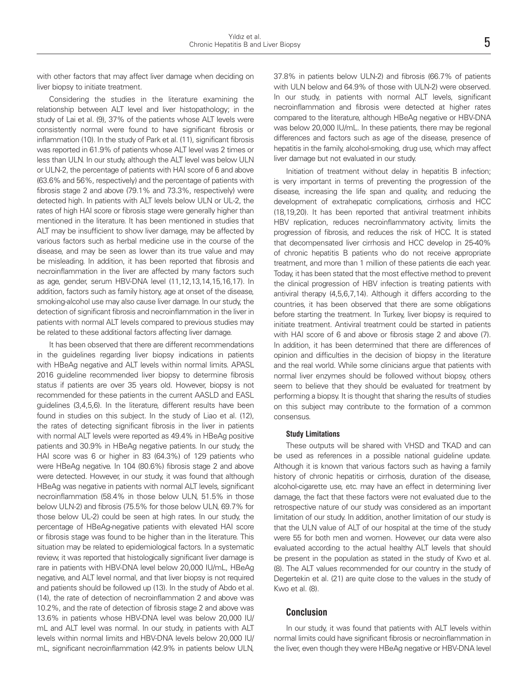with other factors that may affect liver damage when deciding on liver biopsy to initiate treatment.

Considering the studies in the literature examining the relationship between ALT level and liver histopathology; in the study of Lai et al. (9), 37% of the patients whose ALT levels were consistently normal were found to have significant fibrosis or inflammation (10). In the study of Park et al. (11), significant fibrosis was reported in 61.9% of patients whose ALT level was 2 times or less than ULN. In our study, although the ALT level was below ULN or ULN-2, the percentage of patients with HAI score of 6 and above (63.6% and 56%, respectively) and the percentage of patients with fibrosis stage 2 and above (79.1% and 73.3%, respectively) were detected high. In patients with ALT levels below ULN or UL-2, the rates of high HAI score or fibrosis stage were generally higher than mentioned in the literature. It has been mentioned in studies that ALT may be insufficient to show liver damage, may be affected by various factors such as herbal medicine use in the course of the disease, and may be seen as lower than its true value and may be misleading. In addition, it has been reported that fibrosis and necroinflammation in the liver are affected by many factors such as age, gender, serum HBV-DNA level (11,12,13,14,15,16,17). In addition, factors such as family history, age at onset of the disease, smoking-alcohol use may also cause liver damage. In our study, the detection of significant fibrosis and necroinflammation in the liver in patients with normal ALT levels compared to previous studies may be related to these additional factors affecting liver damage.

It has been observed that there are different recommendations in the guidelines regarding liver biopsy indications in patients with HBeAg negative and ALT levels within normal limits. APASL 2016 guideline recommended liver biopsy to determine fibrosis status if patients are over 35 years old. However, biopsy is not recommended for these patients in the current AASLD and EASL guidelines (3,4,5,6). In the literature, different results have been found in studies on this subject. In the study of Liao et al. (12), the rates of detecting significant fibrosis in the liver in patients with normal ALT levels were reported as 49.4% in HBeAg positive patients and 30.9% in HBeAg negative patients. In our study, the HAI score was 6 or higher in 83 (64.3%) of 129 patients who were HBeAg negative. In 104 (80.6%) fibrosis stage 2 and above were detected. However, in our study, it was found that although HBeAg was negative in patients with normal ALT levels, significant necroinflammation (58.4% in those below ULN, 51.5% in those below ULN-2) and fibrosis (75.5% for those below ULN, 69.7% for those below UL-2) could be seen at high rates. In our study, the percentage of HBeAg-negative patients with elevated HAI score or fibrosis stage was found to be higher than in the literature. This situation may be related to epidemiological factors. In a systematic review, it was reported that histologically significant liver damage is rare in patients with HBV-DNA level below 20,000 IU/mL, HBeAg negative, and ALT level normal, and that liver biopsy is not required and patients should be followed up (13). In the study of Abdo et al. (14), the rate of detection of necroinflammation 2 and above was 10.2%, and the rate of detection of fibrosis stage 2 and above was 13.6% in patients whose HBV-DNA level was below 20,000 IU/ mL and ALT level was normal. In our study, in patients with ALT levels within normal limits and HBV-DNA levels below 20,000 IU/ mL, significant necroinflammation (42.9% in patients below ULN,

37.8% in patients below ULN-2) and fibrosis (66.7% of patients with ULN below and 64.9% of those with ULN-2) were observed. In our study, in patients with normal ALT levels, significant necroinflammation and fibrosis were detected at higher rates compared to the literature, although HBeAg negative or HBV-DNA was below 20,000 IU/mL. In these patients, there may be regional differences and factors such as age of the disease, presence of hepatitis in the family, alcohol-smoking, drug use, which may affect liver damage but not evaluated in our study.

Initiation of treatment without delay in hepatitis B infection; is very important in terms of preventing the progression of the disease, increasing the life span and quality, and reducing the development of extrahepatic complications, cirrhosis and HCC (18,19,20). It has been reported that antiviral treatment inhibits HBV replication, reduces necroinflammatory activity, limits the progression of fibrosis, and reduces the risk of HCC. It is stated that decompensated liver cirrhosis and HCC develop in 25-40% of chronic hepatitis B patients who do not receive appropriate treatment, and more than 1 million of these patients die each year. Today, it has been stated that the most effective method to prevent the clinical progression of HBV infection is treating patients with antiviral therapy (4,5,6,7,14). Although it differs according to the countries, it has been observed that there are some obligations before starting the treatment. In Turkey, liver biopsy is required to initiate treatment. Antiviral treatment could be started in patients with HAI score of 6 and above or fibrosis stage 2 and above (7). In addition, it has been determined that there are differences of opinion and difficulties in the decision of biopsy in the literature and the real world. While some clinicians argue that patients with normal liver enzymes should be followed without biopsy, others seem to believe that they should be evaluated for treatment by performing a biopsy. It is thought that sharing the results of studies on this subject may contribute to the formation of a common consensus.

#### **Study Limitations**

These outputs will be shared with VHSD and TKAD and can be used as references in a possible national guideline update. Although it is known that various factors such as having a family history of chronic hepatitis or cirrhosis, duration of the disease, alcohol-cigarette use, etc. may have an effect in determining liver damage, the fact that these factors were not evaluated due to the retrospective nature of our study was considered as an important limitation of our study. In addition, another limitation of our study is that the ULN value of ALT of our hospital at the time of the study were 55 for both men and women. However, our data were also evaluated according to the actual healthy ALT levels that should be present in the population as stated in the study of Kwo et al. (8). The ALT values recommended for our country in the study of Degertekin et al. (21) are quite close to the values in the study of Kwo et al. (8).

#### **Conclusion**

In our study, it was found that patients with ALT levels within normal limits could have significant fibrosis or necroinflammation in the liver, even though they were HBeAg negative or HBV-DNA level